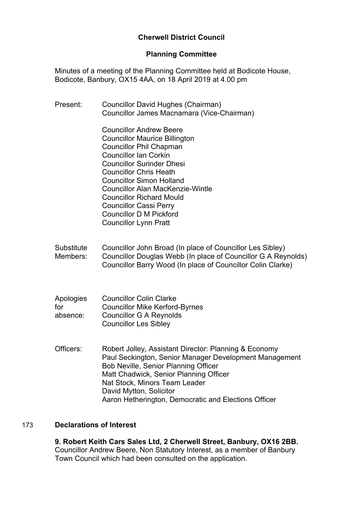# **Cherwell District Council**

## **Planning Committee**

Minutes of a meeting of the Planning Committee held at Bodicote House, Bodicote, Banbury, OX15 4AA, on 18 April 2019 at 4.00 pm

Present: Councillor David Hughes (Chairman) Councillor James Macnamara (Vice-Chairman) Councillor Andrew Beere Councillor Maurice Billington Councillor Phil Chapman Councillor Ian Corkin Councillor Surinder Dhesi Councillor Chris Heath Councillor Simon Holland Councillor Alan MacKenzie-Wintle Councillor Richard Mould Councillor Cassi Perry Councillor D M Pickford Councillor Lynn Pratt **Substitute** Members: Councillor John Broad (In place of Councillor Les Sibley) Councillor Douglas Webb (In place of Councillor G A Reynolds) Councillor Barry Wood (In place of Councillor Colin Clarke) Apologies for absence: Councillor Colin Clarke Councillor Mike Kerford-Byrnes Councillor G A Reynolds Councillor Les Sibley Officers: Robert Jolley, Assistant Director: Planning & Economy Paul Seckington, Senior Manager Development Management Bob Neville, Senior Planning Officer Matt Chadwick, Senior Planning Officer Nat Stock, Minors Team Leader David Mytton, Solicitor Aaron Hetherington, Democratic and Elections Officer

# 173 **Declarations of Interest**

**9. Robert Keith Cars Sales Ltd, 2 Cherwell Street, Banbury, OX16 2BB.** Councillor Andrew Beere, Non Statutory Interest, as a member of Banbury Town Council which had been consulted on the application.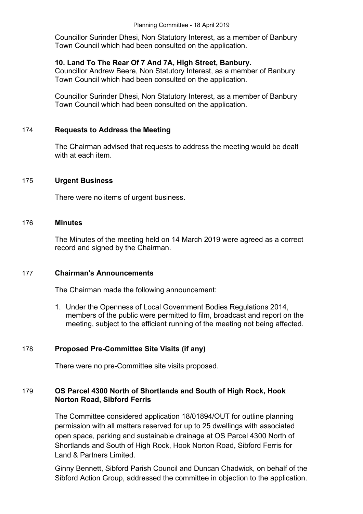Councillor Surinder Dhesi, Non Statutory Interest, as a member of Banbury Town Council which had been consulted on the application.

## **10. Land To The Rear Of 7 And 7A, High Street, Banbury.**

Councillor Andrew Beere, Non Statutory Interest, as a member of Banbury Town Council which had been consulted on the application.

Councillor Surinder Dhesi, Non Statutory Interest, as a member of Banbury Town Council which had been consulted on the application.

## 174 **Requests to Address the Meeting**

The Chairman advised that requests to address the meeting would be dealt with at each item.

## 175 **Urgent Business**

There were no items of urgent business.

#### 176 **Minutes**

The Minutes of the meeting held on 14 March 2019 were agreed as a correct record and signed by the Chairman.

## 177 **Chairman's Announcements**

The Chairman made the following announcement:

1. Under the Openness of Local Government Bodies Regulations 2014, members of the public were permitted to film, broadcast and report on the meeting, subject to the efficient running of the meeting not being affected.

## 178 **Proposed Pre-Committee Site Visits (if any)**

There were no pre-Committee site visits proposed.

# 179 **OS Parcel 4300 North of Shortlands and South of High Rock, Hook Norton Road, Sibford Ferris**

The Committee considered application 18/01894/OUT for outline planning permission with all matters reserved for up to 25 dwellings with associated open space, parking and sustainable drainage at OS Parcel 4300 North of Shortlands and South of High Rock, Hook Norton Road, Sibford Ferris for Land & Partners Limited.

Ginny Bennett, Sibford Parish Council and Duncan Chadwick, on behalf of the Sibford Action Group, addressed the committee in objection to the application.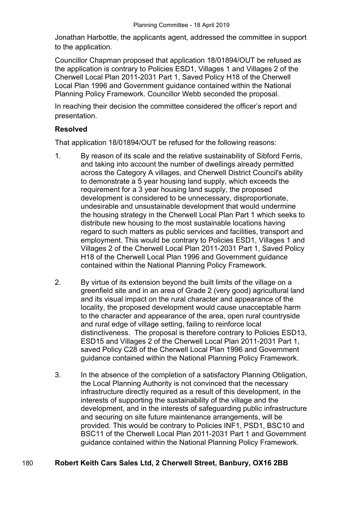Jonathan Harbottle, the applicants agent, addressed the committee in support to the application.

Councillor Chapman proposed that application 18/01894/OUT be refused as the application is contrary to Policies ESD1, Villages 1 and Villages 2 of the Cherwell Local Plan 2011-2031 Part 1, Saved Policy H18 of the Cherwell Local Plan 1996 and Government guidance contained within the National Planning Policy Framework. Councillor Webb seconded the proposal.

In reaching their decision the committee considered the officer's report and presentation.

## **Resolved**

That application 18/01894/OUT be refused for the following reasons:

- 1. By reason of its scale and the relative sustainability of Sibford Ferris, and taking into account the number of dwellings already permitted across the Category A villages, and Cherwell District Council's ability to demonstrate a 5 year housing land supply, which exceeds the requirement for a 3 year housing land supply, the proposed development is considered to be unnecessary, disproportionate, undesirable and unsustainable development that would undermine the housing strategy in the Cherwell Local Plan Part 1 which seeks to distribute new housing to the most sustainable locations having regard to such matters as public services and facilities, transport and employment. This would be contrary to Policies ESD1, Villages 1 and Villages 2 of the Cherwell Local Plan 2011-2031 Part 1, Saved Policy H18 of the Cherwell Local Plan 1996 and Government guidance contained within the National Planning Policy Framework.
- 2. By virtue of its extension beyond the built limits of the village on a greenfield site and in an area of Grade 2 (very good) agricultural land and its visual impact on the rural character and appearance of the locality, the proposed development would cause unacceptable harm to the character and appearance of the area, open rural countryside and rural edge of village setting, failing to reinforce local distinctiveness. The proposal is therefore contrary to Policies ESD13, ESD15 and Villages 2 of the Cherwell Local Plan 2011-2031 Part 1, saved Policy C28 of the Cherwell Local Plan 1996 and Government guidance contained within the National Planning Policy Framework.
- 3. In the absence of the completion of a satisfactory Planning Obligation, the Local Planning Authority is not convinced that the necessary infrastructure directly required as a result of this development, in the interests of supporting the sustainability of the village and the development, and in the interests of safeguarding public infrastructure and securing on site future maintenance arrangements, will be provided. This would be contrary to Policies INF1, PSD1, BSC10 and BSC11 of the Cherwell Local Plan 2011-2031 Part 1 and Government guidance contained within the National Planning Policy Framework.

# 180 **Robert Keith Cars Sales Ltd, 2 Cherwell Street, Banbury, OX16 2BB**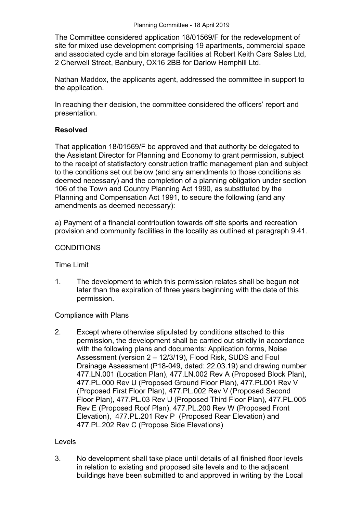The Committee considered application 18/01569/F for the redevelopment of site for mixed use development comprising 19 apartments, commercial space and associated cycle and bin storage facilities at Robert Keith Cars Sales Ltd, 2 Cherwell Street, Banbury, OX16 2BB for Darlow Hemphill Ltd.

Nathan Maddox, the applicants agent, addressed the committee in support to the application.

In reaching their decision, the committee considered the officers' report and presentation.

## **Resolved**

That application 18/01569/F be approved and that authority be delegated to the Assistant Director for Planning and Economy to grant permission, subject to the receipt of statisfactory construction traffic management plan and subject to the conditions set out below (and any amendments to those conditions as deemed necessary) and the completion of a planning obligation under section 106 of the Town and Country Planning Act 1990, as substituted by the Planning and Compensation Act 1991, to secure the following (and any amendments as deemed necessary):

a) Payment of a financial contribution towards off site sports and recreation provision and community facilities in the locality as outlined at paragraph 9.41.

## **CONDITIONS**

Time Limit

1. The development to which this permission relates shall be begun not later than the expiration of three years beginning with the date of this permission.

## Compliance with Plans

2. Except where otherwise stipulated by conditions attached to this permission, the development shall be carried out strictly in accordance with the following plans and documents: Application forms, Noise Assessment (version 2 – 12/3/19), Flood Risk, SUDS and Foul Drainage Assessment (P18-049, dated: 22.03.19) and drawing number 477.LN.001 (Location Plan), 477.LN.002 Rev A (Proposed Block Plan), 477.PL.000 Rev U (Proposed Ground Floor Plan), 477.PL001 Rev V (Proposed First Floor Plan), 477.PL.002 Rev V (Proposed Second Floor Plan), 477.PL.03 Rev U (Proposed Third Floor Plan), 477.PL.005 Rev E (Proposed Roof Plan), 477.PL.200 Rev W (Proposed Front Elevation), 477.PL.201 Rev P (Proposed Rear Elevation) and 477.PL.202 Rev C (Propose Side Elevations)

## Levels

3. No development shall take place until details of all finished floor levels in relation to existing and proposed site levels and to the adjacent buildings have been submitted to and approved in writing by the Local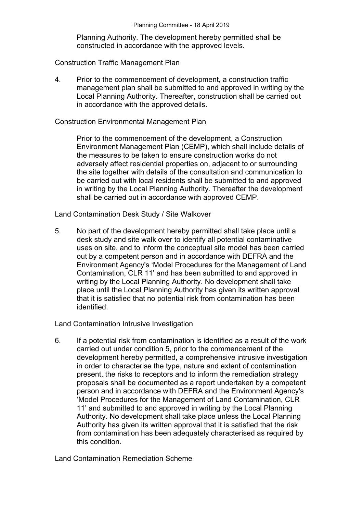Planning Authority. The development hereby permitted shall be constructed in accordance with the approved levels.

Construction Traffic Management Plan

4. Prior to the commencement of development, a construction traffic management plan shall be submitted to and approved in writing by the Local Planning Authority. Thereafter, construction shall be carried out in accordance with the approved details.

#### Construction Environmental Management Plan

Prior to the commencement of the development, a Construction Environment Management Plan (CEMP), which shall include details of the measures to be taken to ensure construction works do not adversely affect residential properties on, adjacent to or surrounding the site together with details of the consultation and communication to be carried out with local residents shall be submitted to and approved in writing by the Local Planning Authority. Thereafter the development shall be carried out in accordance with approved CEMP.

Land Contamination Desk Study / Site Walkover

5. No part of the development hereby permitted shall take place until a desk study and site walk over to identify all potential contaminative uses on site, and to inform the conceptual site model has been carried out by a competent person and in accordance with DEFRA and the Environment Agency's 'Model Procedures for the Management of Land Contamination, CLR 11' and has been submitted to and approved in writing by the Local Planning Authority. No development shall take place until the Local Planning Authority has given its written approval that it is satisfied that no potential risk from contamination has been identified.

Land Contamination Intrusive Investigation

6. If a potential risk from contamination is identified as a result of the work carried out under condition 5, prior to the commencement of the development hereby permitted, a comprehensive intrusive investigation in order to characterise the type, nature and extent of contamination present, the risks to receptors and to inform the remediation strategy proposals shall be documented as a report undertaken by a competent person and in accordance with DEFRA and the Environment Agency's 'Model Procedures for the Management of Land Contamination, CLR 11' and submitted to and approved in writing by the Local Planning Authority. No development shall take place unless the Local Planning Authority has given its written approval that it is satisfied that the risk from contamination has been adequately characterised as required by this condition.

Land Contamination Remediation Scheme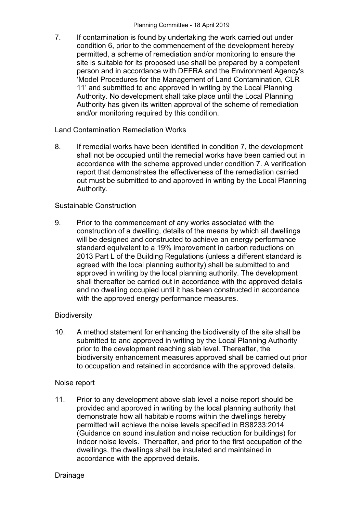7. If contamination is found by undertaking the work carried out under condition 6, prior to the commencement of the development hereby permitted, a scheme of remediation and/or monitoring to ensure the site is suitable for its proposed use shall be prepared by a competent person and in accordance with DEFRA and the Environment Agency's 'Model Procedures for the Management of Land Contamination, CLR 11' and submitted to and approved in writing by the Local Planning Authority. No development shall take place until the Local Planning Authority has given its written approval of the scheme of remediation and/or monitoring required by this condition.

#### Land Contamination Remediation Works

8. If remedial works have been identified in condition 7, the development shall not be occupied until the remedial works have been carried out in accordance with the scheme approved under condition 7. A verification report that demonstrates the effectiveness of the remediation carried out must be submitted to and approved in writing by the Local Planning Authority.

## Sustainable Construction

9. Prior to the commencement of any works associated with the construction of a dwelling, details of the means by which all dwellings will be designed and constructed to achieve an energy performance standard equivalent to a 19% improvement in carbon reductions on 2013 Part L of the Building Regulations (unless a different standard is agreed with the local planning authority) shall be submitted to and approved in writing by the local planning authority. The development shall thereafter be carried out in accordance with the approved details and no dwelling occupied until it has been constructed in accordance with the approved energy performance measures.

## **Biodiversity**

10. A method statement for enhancing the biodiversity of the site shall be submitted to and approved in writing by the Local Planning Authority prior to the development reaching slab level. Thereafter, the biodiversity enhancement measures approved shall be carried out prior to occupation and retained in accordance with the approved details.

## Noise report

11. Prior to any development above slab level a noise report should be provided and approved in writing by the local planning authority that demonstrate how all habitable rooms within the dwellings hereby permitted will achieve the noise levels specified in BS8233:2014 (Guidance on sound insulation and noise reduction for buildings) for indoor noise levels. Thereafter, and prior to the first occupation of the dwellings, the dwellings shall be insulated and maintained in accordance with the approved details.

#### Drainage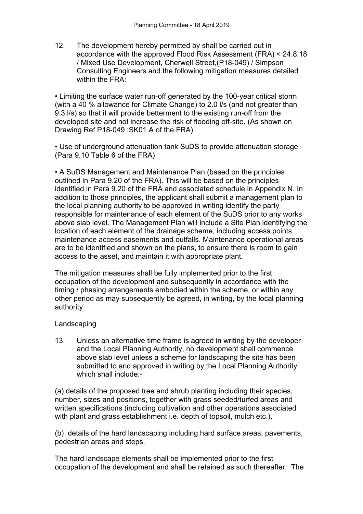12. The development hereby permitted by shall be carried out in accordance with the approved Flood Risk Assessment (FRA) < 24.8.18 / Mixed Use Development, Cherwell Street,(P18-049) / Simpson Consulting Engineers and the following mitigation measures detailed within the FRA:

• Limiting the surface water run-off generated by the 100-year critical storm (with a 40 % allowance for Climate Change) to 2.0 l/s (and not greater than 9.3 l/s) so that it will provide betterment to the existing run-off from the developed site and not increase the risk of flooding off-site. (As shown on Drawing Ref P18-049 :SK01 A of the FRA)

• Use of underground attenuation tank SuDS to provide attenuation storage (Para 9.10 Table 6 of the FRA)

• A SuDS Management and Maintenance Plan (based on the principles outlined in Para 9.20 of the FRA). This will be based on the principles identified in Para 9.20 of the FRA and associated schedule in Appendix N. In addition to those principles, the applicant shall submit a management plan to the local planning authority to be approved in writing identify the party responsible for maintenance of each element of the SuDS prior to any works above slab level. The Management Plan will include a Site Plan identifying the location of each element of the drainage scheme, including access points, maintenance access easements and outfalls. Maintenance operational areas are to be identified and shown on the plans, to ensure there is room to gain access to the asset, and maintain it with appropriate plant.

The mitigation measures shall be fully implemented prior to the first occupation of the development and subsequently in accordance with the timing / phasing arrangements embodied within the scheme, or within any other period as may subsequently be agreed, in writing, by the local planning authority

## Landscaping

13. Unless an alternative time frame is agreed in writing by the developer and the Local Planning Authority, no development shall commence above slab level unless a scheme for landscaping the site has been submitted to and approved in writing by the Local Planning Authority which shall include:-

(a) details of the proposed tree and shrub planting including their species, number, sizes and positions, together with grass seeded/turfed areas and written specifications (including cultivation and other operations associated with plant and grass establishment i.e. depth of topsoil, mulch etc.),

(b) details of the hard landscaping including hard surface areas, pavements, pedestrian areas and steps.

The hard landscape elements shall be implemented prior to the first occupation of the development and shall be retained as such thereafter. The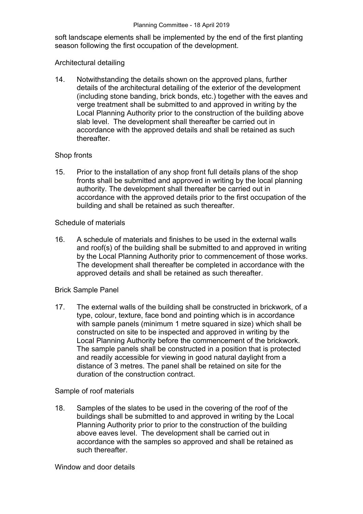soft landscape elements shall be implemented by the end of the first planting season following the first occupation of the development.

### Architectural detailing

14. Notwithstanding the details shown on the approved plans, further details of the architectural detailing of the exterior of the development (including stone banding, brick bonds, etc.) together with the eaves and verge treatment shall be submitted to and approved in writing by the Local Planning Authority prior to the construction of the building above slab level. The development shall thereafter be carried out in accordance with the approved details and shall be retained as such thereafter.

## Shop fronts

15. Prior to the installation of any shop front full details plans of the shop fronts shall be submitted and approved in writing by the local planning authority. The development shall thereafter be carried out in accordance with the approved details prior to the first occupation of the building and shall be retained as such thereafter.

## Schedule of materials

16. A schedule of materials and finishes to be used in the external walls and roof(s) of the building shall be submitted to and approved in writing by the Local Planning Authority prior to commencement of those works. The development shall thereafter be completed in accordance with the approved details and shall be retained as such thereafter.

## Brick Sample Panel

17. The external walls of the building shall be constructed in brickwork, of a type, colour, texture, face bond and pointing which is in accordance with sample panels (minimum 1 metre squared in size) which shall be constructed on site to be inspected and approved in writing by the Local Planning Authority before the commencement of the brickwork. The sample panels shall be constructed in a position that is protected and readily accessible for viewing in good natural daylight from a distance of 3 metres. The panel shall be retained on site for the duration of the construction contract.

## Sample of roof materials

18. Samples of the slates to be used in the covering of the roof of the buildings shall be submitted to and approved in writing by the Local Planning Authority prior to prior to the construction of the building above eaves level. The development shall be carried out in accordance with the samples so approved and shall be retained as such thereafter.

#### Window and door details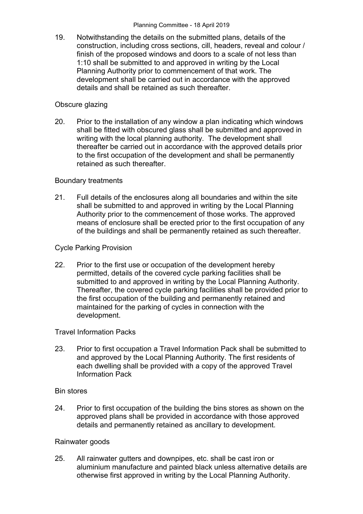19. Notwithstanding the details on the submitted plans, details of the construction, including cross sections, cill, headers, reveal and colour / finish of the proposed windows and doors to a scale of not less than 1:10 shall be submitted to and approved in writing by the Local Planning Authority prior to commencement of that work. The development shall be carried out in accordance with the approved details and shall be retained as such thereafter.

## Obscure glazing

20. Prior to the installation of any window a plan indicating which windows shall be fitted with obscured glass shall be submitted and approved in writing with the local planning authority. The development shall thereafter be carried out in accordance with the approved details prior to the first occupation of the development and shall be permanently retained as such thereafter.

## Boundary treatments

21. Full details of the enclosures along all boundaries and within the site shall be submitted to and approved in writing by the Local Planning Authority prior to the commencement of those works. The approved means of enclosure shall be erected prior to the first occupation of any of the buildings and shall be permanently retained as such thereafter.

## Cycle Parking Provision

22. Prior to the first use or occupation of the development hereby permitted, details of the covered cycle parking facilities shall be submitted to and approved in writing by the Local Planning Authority. Thereafter, the covered cycle parking facilities shall be provided prior to the first occupation of the building and permanently retained and maintained for the parking of cycles in connection with the development.

## Travel Information Packs

23. Prior to first occupation a Travel Information Pack shall be submitted to and approved by the Local Planning Authority. The first residents of each dwelling shall be provided with a copy of the approved Travel Information Pack

## Bin stores

24. Prior to first occupation of the building the bins stores as shown on the approved plans shall be provided in accordance with those approved details and permanently retained as ancillary to development.

## Rainwater goods

25. All rainwater gutters and downpipes, etc. shall be cast iron or aluminium manufacture and painted black unless alternative details are otherwise first approved in writing by the Local Planning Authority.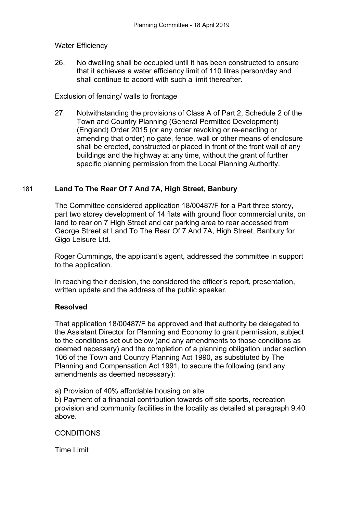## Water Efficiency

26. No dwelling shall be occupied until it has been constructed to ensure that it achieves a water efficiency limit of 110 litres person/day and shall continue to accord with such a limit thereafter.

## Exclusion of fencing/ walls to frontage

27. Notwithstanding the provisions of Class A of Part 2, Schedule 2 of the Town and Country Planning (General Permitted Development) (England) Order 2015 (or any order revoking or re-enacting or amending that order) no gate, fence, wall or other means of enclosure shall be erected, constructed or placed in front of the front wall of any buildings and the highway at any time, without the grant of further specific planning permission from the Local Planning Authority.

# 181 **Land To The Rear Of 7 And 7A, High Street, Banbury**

The Committee considered application 18/00487/F for a Part three storey, part two storey development of 14 flats with ground floor commercial units, on land to rear on 7 High Street and car parking area to rear accessed from George Street at Land To The Rear Of 7 And 7A, High Street, Banbury for Gigo Leisure Ltd.

Roger Cummings, the applicant's agent, addressed the committee in support to the application.

In reaching their decision, the considered the officer's report, presentation, written update and the address of the public speaker.

## **Resolved**

That application 18/00487/F be approved and that authority be delegated to the Assistant Director for Planning and Economy to grant permission, subject to the conditions set out below (and any amendments to those conditions as deemed necessary) and the completion of a planning obligation under section 106 of the Town and Country Planning Act 1990, as substituted by The Planning and Compensation Act 1991, to secure the following (and any amendments as deemed necessary):

a) Provision of 40% affordable housing on site

b) Payment of a financial contribution towards off site sports, recreation provision and community facilities in the locality as detailed at paragraph 9.40 above.

CONDITIONS

Time Limit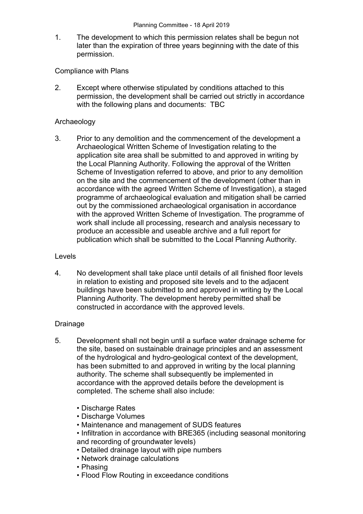1. The development to which this permission relates shall be begun not later than the expiration of three years beginning with the date of this permission.

Compliance with Plans

2. Except where otherwise stipulated by conditions attached to this permission, the development shall be carried out strictly in accordance with the following plans and documents: TBC

## Archaeology

3. Prior to any demolition and the commencement of the development a Archaeological Written Scheme of Investigation relating to the application site area shall be submitted to and approved in writing by the Local Planning Authority. Following the approval of the Written Scheme of Investigation referred to above, and prior to any demolition on the site and the commencement of the development (other than in accordance with the agreed Written Scheme of Investigation), a staged programme of archaeological evaluation and mitigation shall be carried out by the commissioned archaeological organisation in accordance with the approved Written Scheme of Investigation. The programme of work shall include all processing, research and analysis necessary to produce an accessible and useable archive and a full report for publication which shall be submitted to the Local Planning Authority.

#### Levels

4. No development shall take place until details of all finished floor levels in relation to existing and proposed site levels and to the adjacent buildings have been submitted to and approved in writing by the Local Planning Authority. The development hereby permitted shall be constructed in accordance with the approved levels.

## Drainage

- 5. Development shall not begin until a surface water drainage scheme for the site, based on sustainable drainage principles and an assessment of the hydrological and hydro-geological context of the development, has been submitted to and approved in writing by the local planning authority. The scheme shall subsequently be implemented in accordance with the approved details before the development is completed. The scheme shall also include:
	- Discharge Rates
	- Discharge Volumes
	- Maintenance and management of SUDS features
	- Infiltration in accordance with BRE365 (including seasonal monitoring and recording of groundwater levels)
	- Detailed drainage layout with pipe numbers
	- Network drainage calculations
	- Phasing
	- Flood Flow Routing in exceedance conditions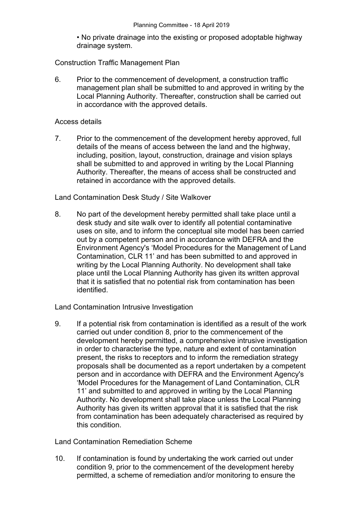• No private drainage into the existing or proposed adoptable highway drainage system.

## Construction Traffic Management Plan

6. Prior to the commencement of development, a construction traffic management plan shall be submitted to and approved in writing by the Local Planning Authority. Thereafter, construction shall be carried out in accordance with the approved details.

#### Access details

7. Prior to the commencement of the development hereby approved, full details of the means of access between the land and the highway, including, position, layout, construction, drainage and vision splays shall be submitted to and approved in writing by the Local Planning Authority. Thereafter, the means of access shall be constructed and retained in accordance with the approved details.

## Land Contamination Desk Study / Site Walkover

8. No part of the development hereby permitted shall take place until a desk study and site walk over to identify all potential contaminative uses on site, and to inform the conceptual site model has been carried out by a competent person and in accordance with DEFRA and the Environment Agency's 'Model Procedures for the Management of Land Contamination, CLR 11' and has been submitted to and approved in writing by the Local Planning Authority. No development shall take place until the Local Planning Authority has given its written approval that it is satisfied that no potential risk from contamination has been identified.

Land Contamination Intrusive Investigation

9. If a potential risk from contamination is identified as a result of the work carried out under condition 8, prior to the commencement of the development hereby permitted, a comprehensive intrusive investigation in order to characterise the type, nature and extent of contamination present, the risks to receptors and to inform the remediation strategy proposals shall be documented as a report undertaken by a competent person and in accordance with DEFRA and the Environment Agency's 'Model Procedures for the Management of Land Contamination, CLR 11' and submitted to and approved in writing by the Local Planning Authority. No development shall take place unless the Local Planning Authority has given its written approval that it is satisfied that the risk from contamination has been adequately characterised as required by this condition.

Land Contamination Remediation Scheme

10. If contamination is found by undertaking the work carried out under condition 9, prior to the commencement of the development hereby permitted, a scheme of remediation and/or monitoring to ensure the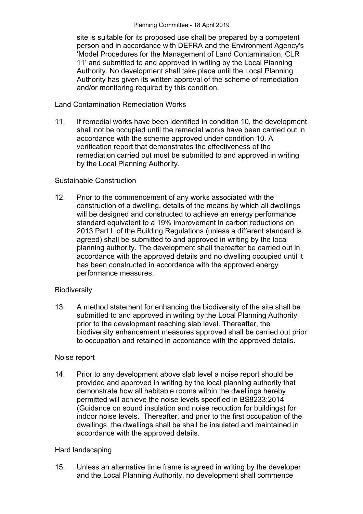site is suitable for its proposed use shall be prepared by a competent person and in accordance with DEFRA and the Environment Agency's 'Model Procedures for the Management of Land Contamination, CLR 11' and submitted to and approved in writing by the Local Planning Authority. No development shall take place until the Local Planning Authority has given its written approval of the scheme of remediation and/or monitoring required by this condition.

## Land Contamination Remediation Works

11. If remedial works have been identified in condition 10, the development shall not be occupied until the remedial works have been carried out in accordance with the scheme approved under condition 10. A verification report that demonstrates the effectiveness of the remediation carried out must be submitted to and approved in writing by the Local Planning Authority.

## Sustainable Construction

12. Prior to the commencement of any works associated with the construction of a dwelling, details of the means by which all dwellings will be designed and constructed to achieve an energy performance standard equivalent to a 19% improvement in carbon reductions on 2013 Part L of the Building Regulations (unless a different standard is agreed) shall be submitted to and approved in writing by the local planning authority. The development shall thereafter be carried out in accordance with the approved details and no dwelling occupied until it has been constructed in accordance with the approved energy performance measures.

## **Biodiversity**

13. A method statement for enhancing the biodiversity of the site shall be submitted to and approved in writing by the Local Planning Authority prior to the development reaching slab level. Thereafter, the biodiversity enhancement measures approved shall be carried out prior to occupation and retained in accordance with the approved details.

#### Noise report

14. Prior to any development above slab level a noise report should be provided and approved in writing by the local planning authority that demonstrate how all habitable rooms within the dwellings hereby permitted will achieve the noise levels specified in BS8233:2014 (Guidance on sound insulation and noise reduction for buildings) for indoor noise levels. Thereafter, and prior to the first occupation of the dwellings, the dwellings shall be shall be insulated and maintained in accordance with the approved details.

## Hard landscaping

15. Unless an alternative time frame is agreed in writing by the developer and the Local Planning Authority, no development shall commence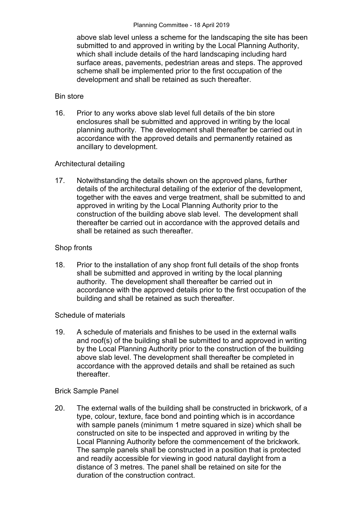#### Planning Committee - 18 April 2019

above slab level unless a scheme for the landscaping the site has been submitted to and approved in writing by the Local Planning Authority, which shall include details of the hard landscaping including hard surface areas, pavements, pedestrian areas and steps. The approved scheme shall be implemented prior to the first occupation of the development and shall be retained as such thereafter.

## Bin store

16. Prior to any works above slab level full details of the bin store enclosures shall be submitted and approved in writing by the local planning authority. The development shall thereafter be carried out in accordance with the approved details and permanently retained as ancillary to development.

## Architectural detailing

17. Notwithstanding the details shown on the approved plans, further details of the architectural detailing of the exterior of the development, together with the eaves and verge treatment, shall be submitted to and approved in writing by the Local Planning Authority prior to the construction of the building above slab level. The development shall thereafter be carried out in accordance with the approved details and shall be retained as such thereafter.

## Shop fronts

18. Prior to the installation of any shop front full details of the shop fronts shall be submitted and approved in writing by the local planning authority. The development shall thereafter be carried out in accordance with the approved details prior to the first occupation of the building and shall be retained as such thereafter.

## Schedule of materials

19. A schedule of materials and finishes to be used in the external walls and roof(s) of the building shall be submitted to and approved in writing by the Local Planning Authority prior to the construction of the building above slab level. The development shall thereafter be completed in accordance with the approved details and shall be retained as such thereafter.

## Brick Sample Panel

20. The external walls of the building shall be constructed in brickwork, of a type, colour, texture, face bond and pointing which is in accordance with sample panels (minimum 1 metre squared in size) which shall be constructed on site to be inspected and approved in writing by the Local Planning Authority before the commencement of the brickwork. The sample panels shall be constructed in a position that is protected and readily accessible for viewing in good natural daylight from a distance of 3 metres. The panel shall be retained on site for the duration of the construction contract.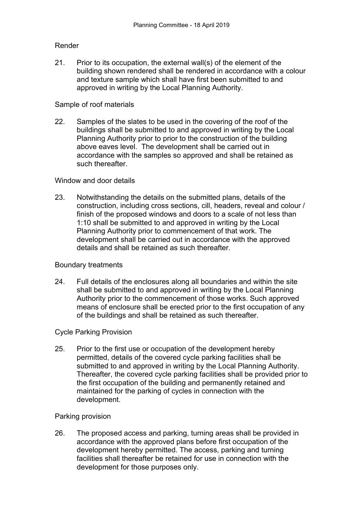## Render

21. Prior to its occupation, the external wall(s) of the element of the building shown rendered shall be rendered in accordance with a colour and texture sample which shall have first been submitted to and approved in writing by the Local Planning Authority.

## Sample of roof materials

22. Samples of the slates to be used in the covering of the roof of the buildings shall be submitted to and approved in writing by the Local Planning Authority prior to prior to the construction of the building above eaves level. The development shall be carried out in accordance with the samples so approved and shall be retained as such thereafter.

## Window and door details

23. Notwithstanding the details on the submitted plans, details of the construction, including cross sections, cill, headers, reveal and colour / finish of the proposed windows and doors to a scale of not less than 1:10 shall be submitted to and approved in writing by the Local Planning Authority prior to commencement of that work. The development shall be carried out in accordance with the approved details and shall be retained as such thereafter.

## Boundary treatments

24. Full details of the enclosures along all boundaries and within the site shall be submitted to and approved in writing by the Local Planning Authority prior to the commencement of those works. Such approved means of enclosure shall be erected prior to the first occupation of any of the buildings and shall be retained as such thereafter.

#### Cycle Parking Provision

25. Prior to the first use or occupation of the development hereby permitted, details of the covered cycle parking facilities shall be submitted to and approved in writing by the Local Planning Authority. Thereafter, the covered cycle parking facilities shall be provided prior to the first occupation of the building and permanently retained and maintained for the parking of cycles in connection with the development.

#### Parking provision

26. The proposed access and parking, turning areas shall be provided in accordance with the approved plans before first occupation of the development hereby permitted. The access, parking and turning facilities shall thereafter be retained for use in connection with the development for those purposes only.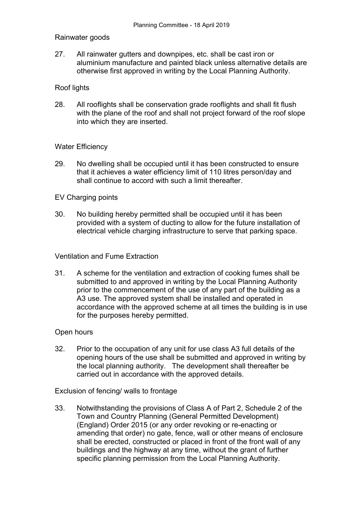## Rainwater goods

27. All rainwater gutters and downpipes, etc. shall be cast iron or aluminium manufacture and painted black unless alternative details are otherwise first approved in writing by the Local Planning Authority.

## Roof lights

28. All rooflights shall be conservation grade rooflights and shall fit flush with the plane of the roof and shall not project forward of the roof slope into which they are inserted.

## Water Efficiency

29. No dwelling shall be occupied until it has been constructed to ensure that it achieves a water efficiency limit of 110 litres person/day and shall continue to accord with such a limit thereafter.

## EV Charging points

30. No building hereby permitted shall be occupied until it has been provided with a system of ducting to allow for the future installation of electrical vehicle charging infrastructure to serve that parking space.

## Ventilation and Fume Extraction

31. A scheme for the ventilation and extraction of cooking fumes shall be submitted to and approved in writing by the Local Planning Authority prior to the commencement of the use of any part of the building as a A3 use. The approved system shall be installed and operated in accordance with the approved scheme at all times the building is in use for the purposes hereby permitted.

#### Open hours

32. Prior to the occupation of any unit for use class A3 full details of the opening hours of the use shall be submitted and approved in writing by the local planning authority. The development shall thereafter be carried out in accordance with the approved details.

Exclusion of fencing/ walls to frontage

33. Notwithstanding the provisions of Class A of Part 2, Schedule 2 of the Town and Country Planning (General Permitted Development) (England) Order 2015 (or any order revoking or re-enacting or amending that order) no gate, fence, wall or other means of enclosure shall be erected, constructed or placed in front of the front wall of any buildings and the highway at any time, without the grant of further specific planning permission from the Local Planning Authority.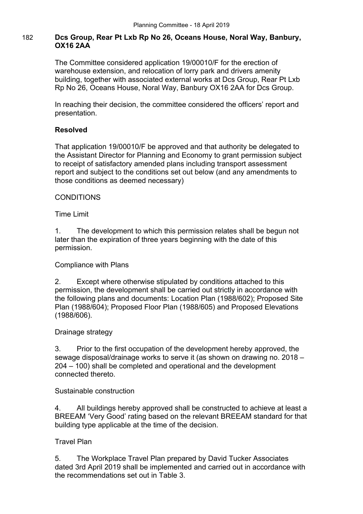# 182 **Dcs Group, Rear Pt Lxb Rp No 26, Oceans House, Noral Way, Banbury, OX16 2AA**

The Committee considered application 19/00010/F for the erection of warehouse extension, and relocation of lorry park and drivers amenity building, together with associated external works at Dcs Group, Rear Pt Lxb Rp No 26, Oceans House, Noral Way, Banbury OX16 2AA for Dcs Group.

In reaching their decision, the committee considered the officers' report and presentation.

## **Resolved**

That application 19/00010/F be approved and that authority be delegated to the Assistant Director for Planning and Economy to grant permission subject to receipt of satisfactory amended plans including transport assessment report and subject to the conditions set out below (and any amendments to those conditions as deemed necessary)

## **CONDITIONS**

## Time Limit

1. The development to which this permission relates shall be begun not later than the expiration of three years beginning with the date of this permission.

## Compliance with Plans

2. Except where otherwise stipulated by conditions attached to this permission, the development shall be carried out strictly in accordance with the following plans and documents: Location Plan (1988/602); Proposed Site Plan (1988/604); Proposed Floor Plan (1988/605) and Proposed Elevations (1988/606).

## Drainage strategy

3. Prior to the first occupation of the development hereby approved, the sewage disposal/drainage works to serve it (as shown on drawing no. 2018 – 204 – 100) shall be completed and operational and the development connected thereto.

## Sustainable construction

4. All buildings hereby approved shall be constructed to achieve at least a BREEAM 'Very Good' rating based on the relevant BREEAM standard for that building type applicable at the time of the decision.

## Travel Plan

5. The Workplace Travel Plan prepared by David Tucker Associates dated 3rd April 2019 shall be implemented and carried out in accordance with the recommendations set out in Table 3.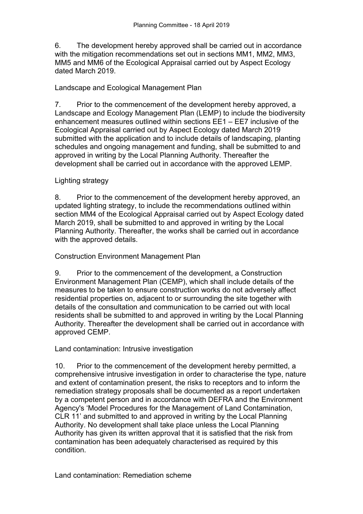6. The development hereby approved shall be carried out in accordance with the mitigation recommendations set out in sections MM1, MM2, MM3, MM5 and MM6 of the Ecological Appraisal carried out by Aspect Ecology dated March 2019.

# Landscape and Ecological Management Plan

7. Prior to the commencement of the development hereby approved, a Landscape and Ecology Management Plan (LEMP) to include the biodiversity enhancement measures outlined within sections EE1 – EE7 inclusive of the Ecological Appraisal carried out by Aspect Ecology dated March 2019 submitted with the application and to include details of landscaping, planting schedules and ongoing management and funding, shall be submitted to and approved in writing by the Local Planning Authority. Thereafter the development shall be carried out in accordance with the approved LEMP.

# Lighting strategy

8. Prior to the commencement of the development hereby approved, an updated lighting strategy, to include the recommendations outlined within section MM4 of the Ecological Appraisal carried out by Aspect Ecology dated March 2019, shall be submitted to and approved in writing by the Local Planning Authority. Thereafter, the works shall be carried out in accordance with the approved details.

# Construction Environment Management Plan

9. Prior to the commencement of the development, a Construction Environment Management Plan (CEMP), which shall include details of the measures to be taken to ensure construction works do not adversely affect residential properties on, adjacent to or surrounding the site together with details of the consultation and communication to be carried out with local residents shall be submitted to and approved in writing by the Local Planning Authority. Thereafter the development shall be carried out in accordance with approved CEMP.

# Land contamination: Intrusive investigation

10. Prior to the commencement of the development hereby permitted, a comprehensive intrusive investigation in order to characterise the type, nature and extent of contamination present, the risks to receptors and to inform the remediation strategy proposals shall be documented as a report undertaken by a competent person and in accordance with DEFRA and the Environment Agency's 'Model Procedures for the Management of Land Contamination, CLR 11' and submitted to and approved in writing by the Local Planning Authority. No development shall take place unless the Local Planning Authority has given its written approval that it is satisfied that the risk from contamination has been adequately characterised as required by this condition.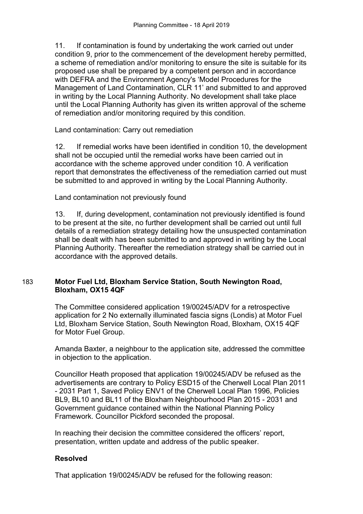11. If contamination is found by undertaking the work carried out under condition 9, prior to the commencement of the development hereby permitted, a scheme of remediation and/or monitoring to ensure the site is suitable for its proposed use shall be prepared by a competent person and in accordance with DEFRA and the Environment Agency's 'Model Procedures for the Management of Land Contamination, CLR 11' and submitted to and approved in writing by the Local Planning Authority. No development shall take place until the Local Planning Authority has given its written approval of the scheme of remediation and/or monitoring required by this condition.

Land contamination: Carry out remediation

12. If remedial works have been identified in condition 10, the development shall not be occupied until the remedial works have been carried out in accordance with the scheme approved under condition 10. A verification report that demonstrates the effectiveness of the remediation carried out must be submitted to and approved in writing by the Local Planning Authority.

Land contamination not previously found

13. If, during development, contamination not previously identified is found to be present at the site, no further development shall be carried out until full details of a remediation strategy detailing how the unsuspected contamination shall be dealt with has been submitted to and approved in writing by the Local Planning Authority. Thereafter the remediation strategy shall be carried out in accordance with the approved details.

## 183 **Motor Fuel Ltd, Bloxham Service Station, South Newington Road, Bloxham, OX15 4QF**

The Committee considered application 19/00245/ADV for a retrospective application for 2 No externally illuminated fascia signs (Londis) at Motor Fuel Ltd, Bloxham Service Station, South Newington Road, Bloxham, OX15 4QF for Motor Fuel Group.

Amanda Baxter, a neighbour to the application site, addressed the committee in objection to the application.

Councillor Heath proposed that application 19/00245/ADV be refused as the advertisements are contrary to Policy ESD15 of the Cherwell Local Plan 2011 - 2031 Part 1, Saved Policy ENV1 of the Cherwell Local Plan 1996, Policies BL9, BL10 and BL11 of the Bloxham Neighbourhood Plan 2015 - 2031 and Government guidance contained within the National Planning Policy Framework. Councillor Pickford seconded the proposal.

In reaching their decision the committee considered the officers' report, presentation, written update and address of the public speaker.

# **Resolved**

That application 19/00245/ADV be refused for the following reason: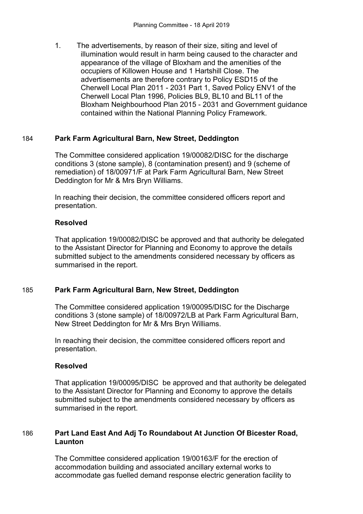1. The advertisements, by reason of their size, siting and level of illumination would result in harm being caused to the character and appearance of the village of Bloxham and the amenities of the occupiers of Killowen House and 1 Hartshill Close. The advertisements are therefore contrary to Policy ESD15 of the Cherwell Local Plan 2011 - 2031 Part 1, Saved Policy ENV1 of the Cherwell Local Plan 1996, Policies BL9, BL10 and BL11 of the Bloxham Neighbourhood Plan 2015 - 2031 and Government guidance contained within the National Planning Policy Framework.

## 184 **Park Farm Agricultural Barn, New Street, Deddington**

The Committee considered application 19/00082/DISC for the discharge conditions 3 (stone sample), 8 (contamination present) and 9 (scheme of remediation) of 18/00971/F at Park Farm Agricultural Barn, New Street Deddington for Mr & Mrs Bryn Williams.

In reaching their decision, the committee considered officers report and presentation.

## **Resolved**

That application 19/00082/DISC be approved and that authority be delegated to the Assistant Director for Planning and Economy to approve the details submitted subject to the amendments considered necessary by officers as summarised in the report.

# 185 **Park Farm Agricultural Barn, New Street, Deddington**

The Committee considered application 19/00095/DISC for the Discharge conditions 3 (stone sample) of 18/00972/LB at Park Farm Agricultural Barn, New Street Deddington for Mr & Mrs Bryn Williams.

In reaching their decision, the committee considered officers report and presentation.

## **Resolved**

That application 19/00095/DISC be approved and that authority be delegated to the Assistant Director for Planning and Economy to approve the details submitted subject to the amendments considered necessary by officers as summarised in the report.

# 186 **Part Land East And Adj To Roundabout At Junction Of Bicester Road, Launton**

The Committee considered application 19/00163/F for the erection of accommodation building and associated ancillary external works to accommodate gas fuelled demand response electric generation facility to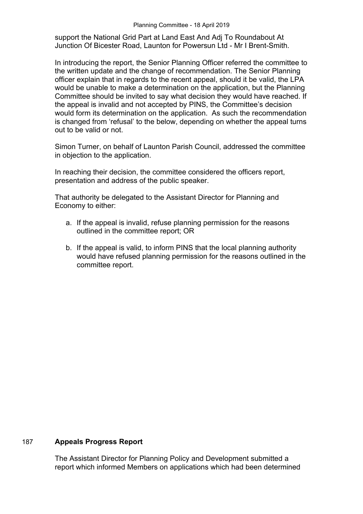support the National Grid Part at Land East And Adj To Roundabout At Junction Of Bicester Road, Launton for Powersun Ltd - Mr I Brent-Smith.

In introducing the report, the Senior Planning Officer referred the committee to the written update and the change of recommendation. The Senior Planning officer explain that in regards to the recent appeal, should it be valid, the LPA would be unable to make a determination on the application, but the Planning Committee should be invited to say what decision they would have reached. If the appeal is invalid and not accepted by PINS, the Committee's decision would form its determination on the application. As such the recommendation is changed from 'refusal' to the below, depending on whether the appeal turns out to be valid or not.

Simon Turner, on behalf of Launton Parish Council, addressed the committee in objection to the application.

In reaching their decision, the committee considered the officers report, presentation and address of the public speaker.

That authority be delegated to the Assistant Director for Planning and Economy to either:

- a. If the appeal is invalid, refuse planning permission for the reasons outlined in the committee report; OR
- b. If the appeal is valid, to inform PINS that the local planning authority would have refused planning permission for the reasons outlined in the committee report.

## 187 **Appeals Progress Report**

The Assistant Director for Planning Policy and Development submitted a report which informed Members on applications which had been determined